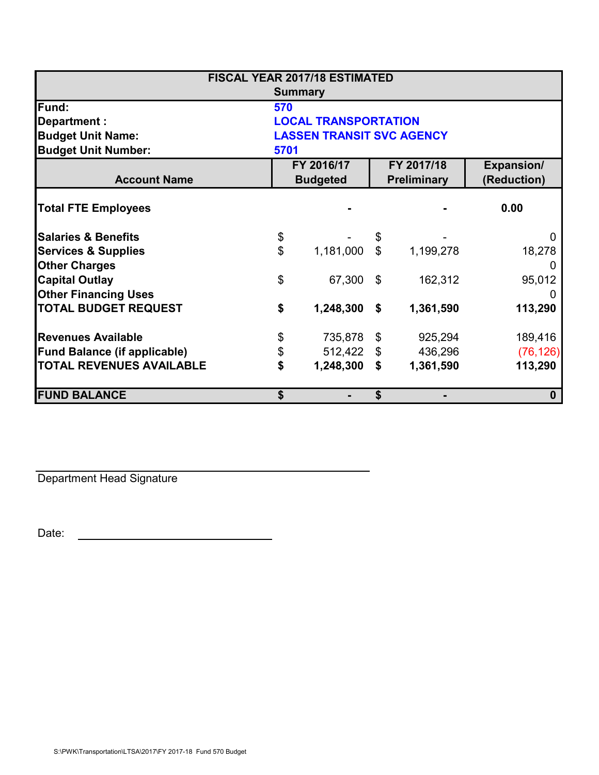| <b>FISCAL YEAR 2017/18 ESTIMATED</b> |                                  |            |                                  |           |                                  |  |
|--------------------------------------|----------------------------------|------------|----------------------------------|-----------|----------------------------------|--|
|                                      | <b>Summary</b>                   |            |                                  |           |                                  |  |
| Fund:                                | 570                              |            |                                  |           |                                  |  |
| Department :                         | <b>LOCAL TRANSPORTATION</b>      |            |                                  |           |                                  |  |
| <b>Budget Unit Name:</b>             | <b>LASSEN TRANSIT SVC AGENCY</b> |            |                                  |           |                                  |  |
| <b>Budget Unit Number:</b>           | 5701                             |            |                                  |           |                                  |  |
| <b>Account Name</b>                  | FY 2016/17<br><b>Budgeted</b>    |            | FY 2017/18<br><b>Preliminary</b> |           | <b>Expansion/</b><br>(Reduction) |  |
| <b>Total FTE Employees</b>           |                                  |            |                                  |           | 0.00                             |  |
| <b>Salaries &amp; Benefits</b>       | \$                               |            | \$                               |           |                                  |  |
| <b>Services &amp; Supplies</b>       | \$                               | 1,181,000  | $\mathbb{S}$                     | 1,199,278 | 18,278                           |  |
| <b>Other Charges</b>                 |                                  |            |                                  |           |                                  |  |
| <b>Capital Outlay</b>                | \$                               | 67,300     | \$                               | 162,312   | 95,012                           |  |
| <b>Other Financing Uses</b>          |                                  |            |                                  |           | $\mathbf{0}$                     |  |
| <b>TOTAL BUDGET REQUEST</b>          | \$                               | 1,248,300  | \$                               | 1,361,590 | 113,290                          |  |
| <b>Revenues Available</b>            | \$                               | 735,878    | \$                               | 925,294   | 189,416                          |  |
| <b>Fund Balance (if applicable)</b>  | \$                               | 512,422 \$ |                                  | 436,296   | (76, 126)                        |  |
| <b>TOTAL REVENUES AVAILABLE</b>      | \$                               | 1,248,300  | \$                               | 1,361,590 | 113,290                          |  |
| <b>FUND BALANCE</b>                  | \$                               |            | \$                               |           | $\bf{0}$                         |  |

Department Head Signature

Date: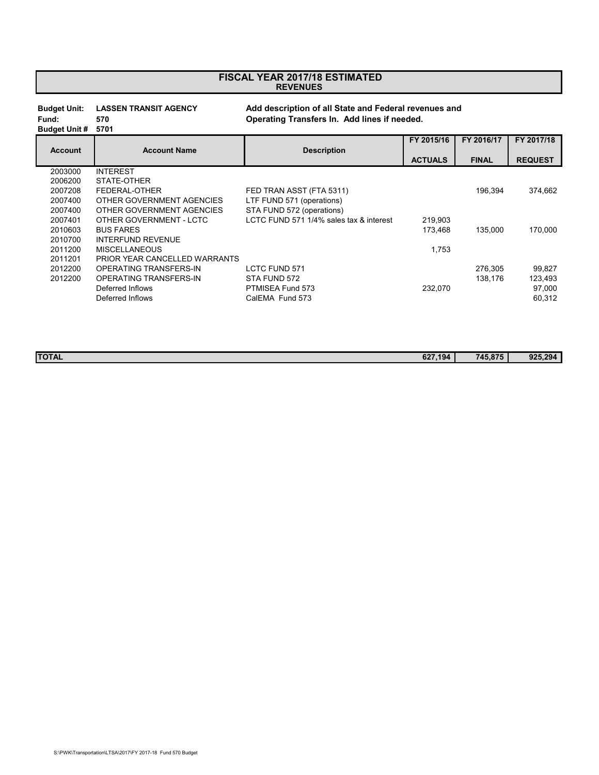## **REVENUES FISCAL YEAR 2017/18 ESTIMATED**

**Budget Unit: LASSEN TRANSIT AGENCY Add description of all State and Federal revenues and Fund: 570 Operating Transfers In. Add lines if needed.**

| <b>Budget Unit #</b> | 5701 |
|----------------------|------|

|                |                               |                                         | FY 2015/16     | FY 2016/17   | FY 2017/18     |
|----------------|-------------------------------|-----------------------------------------|----------------|--------------|----------------|
| <b>Account</b> | <b>Account Name</b>           | <b>Description</b>                      |                |              |                |
|                |                               |                                         | <b>ACTUALS</b> | <b>FINAL</b> | <b>REQUEST</b> |
| 2003000        | <b>INTEREST</b>               |                                         |                |              |                |
| 2006200        | STATE-OTHER                   |                                         |                |              |                |
| 2007208        | FEDERAL-OTHER                 | FED TRAN ASST (FTA 5311)                |                | 196.394      | 374,662        |
| 2007400        | OTHER GOVERNMENT AGENCIES     | LTF FUND 571 (operations)               |                |              |                |
| 2007400        | OTHER GOVERNMENT AGENCIES     | STA FUND 572 (operations)               |                |              |                |
| 2007401        | OTHER GOVERNMENT - LCTC       | LCTC FUND 571 1/4% sales tax & interest | 219.903        |              |                |
| 2010603        | <b>BUS FARES</b>              |                                         | 173.468        | 135.000      | 170.000        |
| 2010700        | INTERFUND REVENUE             |                                         |                |              |                |
| 2011200        | <b>MISCELLANEOUS</b>          |                                         | 1.753          |              |                |
| 2011201        | PRIOR YEAR CANCELLED WARRANTS |                                         |                |              |                |
| 2012200        | <b>OPERATING TRANSFERS-IN</b> | LCTC FUND 571                           |                | 276,305      | 99,827         |
| 2012200        | OPERATING TRANSFERS-IN        | STA FUND 572                            |                | 138.176      | 123,493        |
|                | Deferred Inflows              | PTMISEA Fund 573                        | 232,070        |              | 97,000         |
|                | Deferred Inflows              | CalEMA Fund 573                         |                |              | 60,312         |

| <b>TOTAL</b><br>627.194 | $\sim$<br>$\overline{\phantom{a}}$ | 925<br>ຳດົ |
|-------------------------|------------------------------------|------------|
|                         |                                    |            |